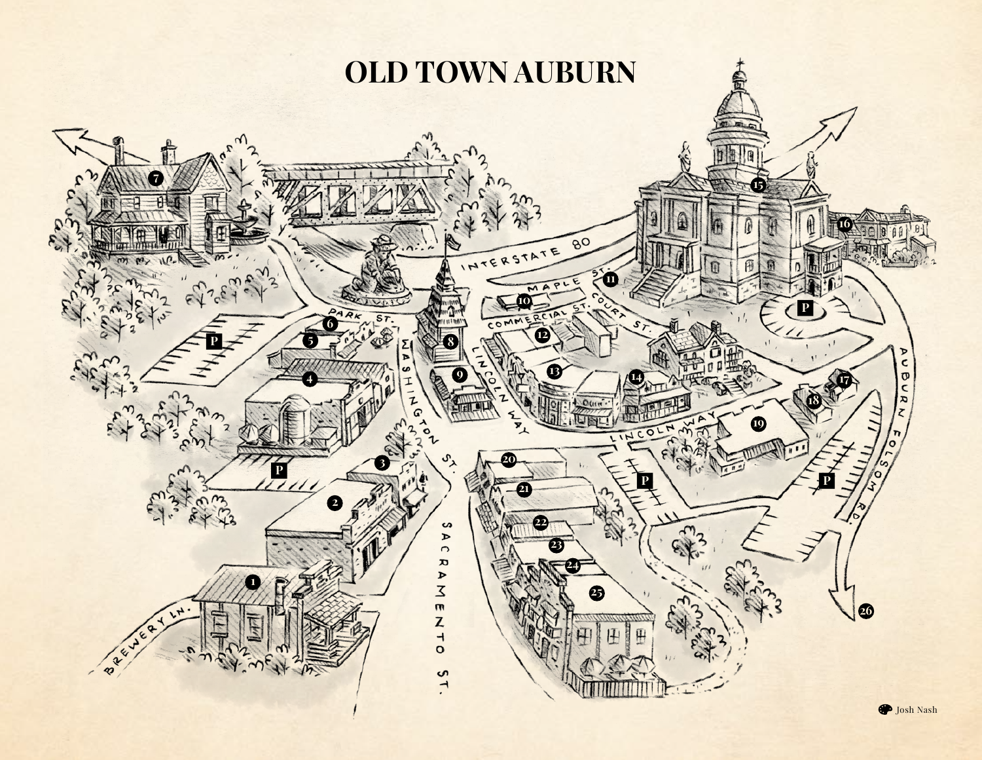